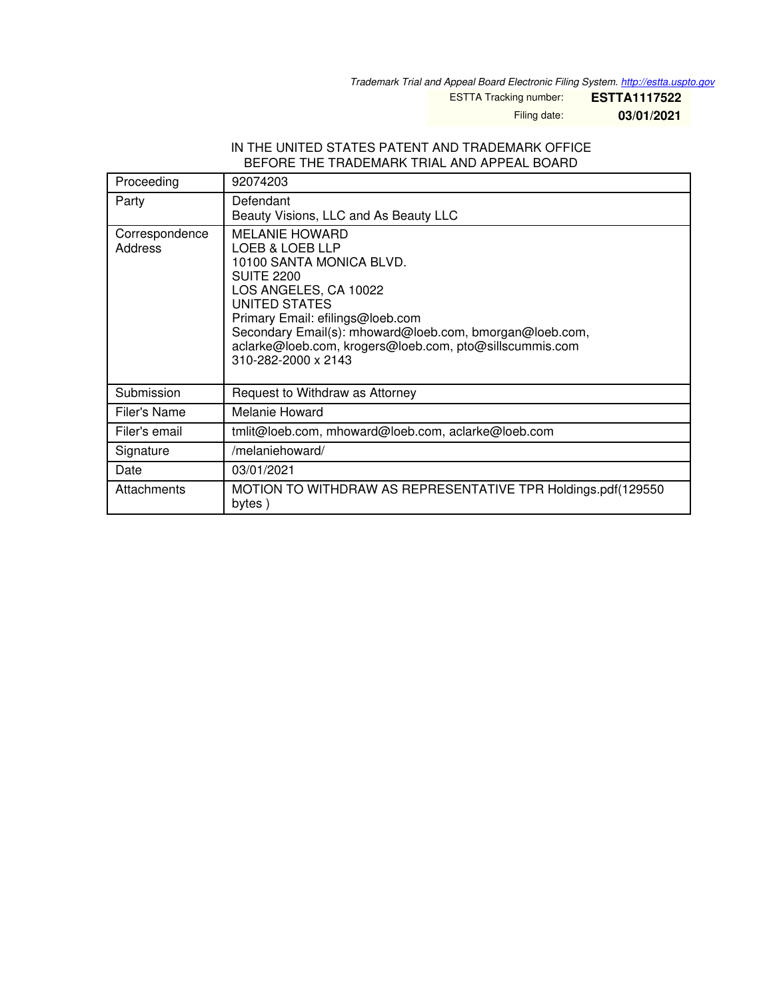*Trademark Trial and Appeal Board Electronic Filing System. <http://estta.uspto.gov>*

ESTTA Tracking number: **ESTTA1117522**

Filing date: **03/01/2021**

#### IN THE UNITED STATES PATENT AND TRADEMARK OFFICE BEFORE THE TRADEMARK TRIAL AND APPEAL BOARD

| Proceeding                | 92074203                                                                                                                                                                                                                                                                                                             |
|---------------------------|----------------------------------------------------------------------------------------------------------------------------------------------------------------------------------------------------------------------------------------------------------------------------------------------------------------------|
| Party                     | Defendant<br>Beauty Visions, LLC and As Beauty LLC                                                                                                                                                                                                                                                                   |
| Correspondence<br>Address | <b>MELANIE HOWARD</b><br>LOEB & LOEB LLP<br>10100 SANTA MONICA BLVD.<br><b>SUITE 2200</b><br>LOS ANGELES, CA 10022<br>UNITED STATES<br>Primary Email: efilings@loeb.com<br>Secondary Email(s): mhoward@loeb.com, bmorgan@loeb.com,<br>aclarke@loeb.com, krogers@loeb.com, pto@sillscummis.com<br>310-282-2000 x 2143 |
| Submission                | Request to Withdraw as Attorney                                                                                                                                                                                                                                                                                      |
| Filer's Name              | Melanie Howard                                                                                                                                                                                                                                                                                                       |
| Filer's email             | tmlit@loeb.com, mhoward@loeb.com, aclarke@loeb.com                                                                                                                                                                                                                                                                   |
| Signature                 | /melaniehoward/                                                                                                                                                                                                                                                                                                      |
| Date                      | 03/01/2021                                                                                                                                                                                                                                                                                                           |
| Attachments               | MOTION TO WITHDRAW AS REPRESENTATIVE TPR Holdings.pdf(129550<br>bytes)                                                                                                                                                                                                                                               |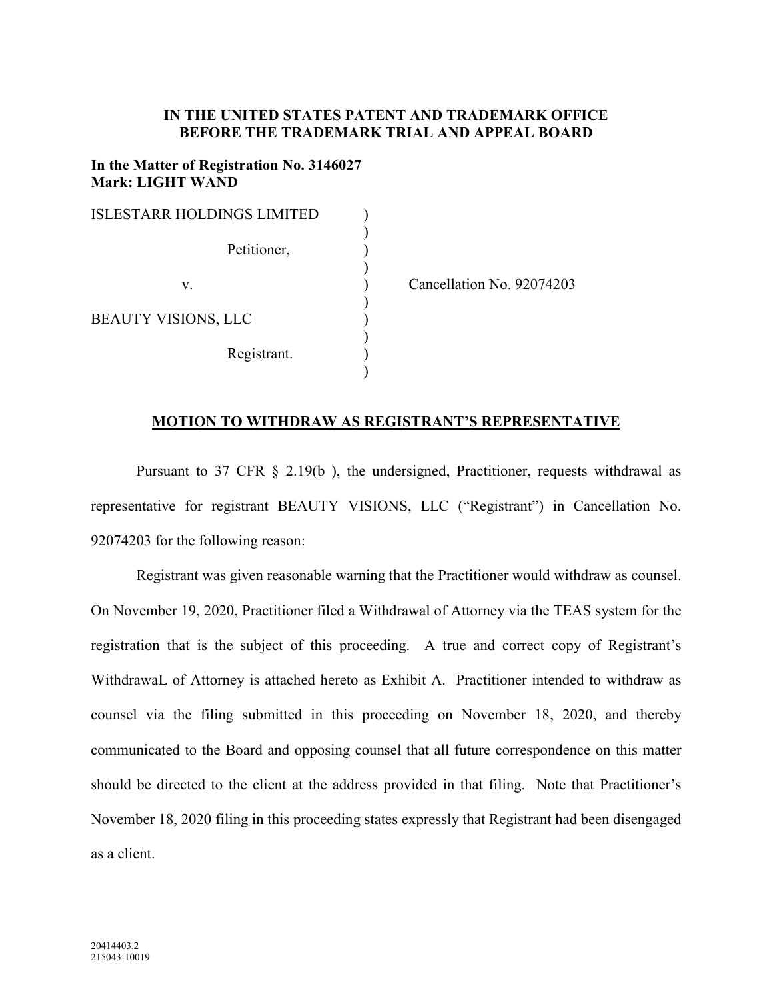# **IN THE UNITED STATES PATENT AND TRADEMARK OFFICE BEFORE THE TRADEMARK TRIAL AND APPEAL BOARD**

### **In the Matter of Registration No. 3146027 Mark: LIGHT WAND**

| ISLESTARR HOLDINGS LIMITED |          |
|----------------------------|----------|
| Petitioner,                |          |
| V.                         | $C$ ance |
| <b>BEAUTY VISIONS, LLC</b> |          |
| Registrant.                |          |
|                            |          |

ellation No. 92074203

# **MOTION TO WITHDRAW AS REGISTRANT'S REPRESENTATIVE**

Pursuant to 37 CFR § 2.19(b ), the undersigned, Practitioner, requests withdrawal as representative for registrant BEAUTY VISIONS, LLC ("Registrant") in Cancellation No. 92074203 for the following reason:

Registrant was given reasonable warning that the Practitioner would withdraw as counsel. On November 19, 2020, Practitioner filed a Withdrawal of Attorney via the TEAS system for the registration that is the subject of this proceeding. A true and correct copy of Registrant's WithdrawaL of Attorney is attached hereto as Exhibit A. Practitioner intended to withdraw as counsel via the filing submitted in this proceeding on November 18, 2020, and thereby communicated to the Board and opposing counsel that all future correspondence on this matter should be directed to the client at the address provided in that filing. Note that Practitioner's November 18, 2020 filing in this proceeding states expressly that Registrant had been disengaged as a client.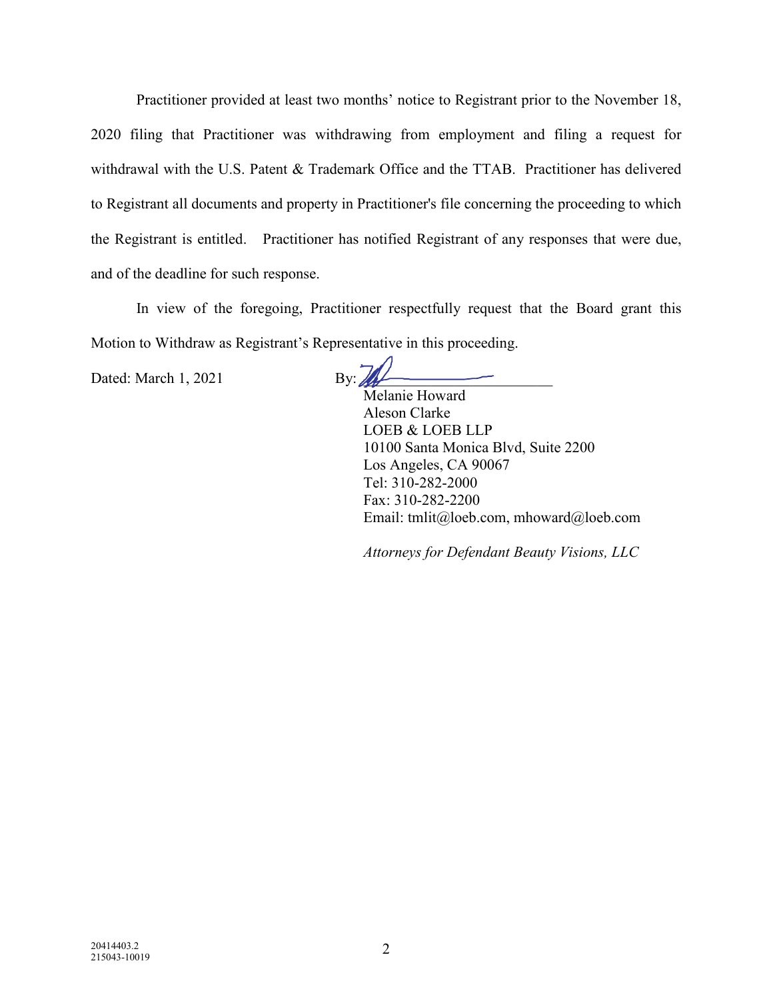Practitioner provided at least two months' notice to Registrant prior to the November 18, 2020 filing that Practitioner was withdrawing from employment and filing a request for withdrawal with the U.S. Patent & Trademark Office and the TTAB. Practitioner has delivered to Registrant all documents and property in Practitioner's file concerning the proceeding to which the Registrant is entitled. Practitioner has notified Registrant of any responses that were due, and of the deadline for such response.

In view of the foregoing, Practitioner respectfully request that the Board grant this Motion to Withdraw as Registrant's Representative in this proceeding.

Dated: March 1, 2021 By:  $\frac{1}{2}$ 

Melanie Howard Aleson Clarke LOEB & LOEB LLP 10100 Santa Monica Blvd, Suite 2200 Los Angeles, CA 90067 Tel: 310-282-2000 Fax: 310-282-2200 Email: tmlit@loeb.com, mhoward@loeb.com

*Attorneys for Defendant Beauty Visions, LLC*